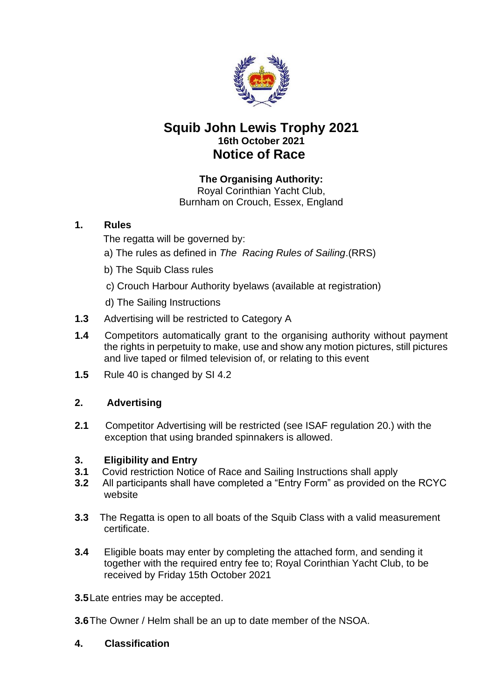

# **Squib John Lewis Trophy 2021 16th October 2021 Notice of Race**

# **The Organising Authority:**

Royal Corinthian Yacht Club, Burnham on Crouch, Essex, England

# **1. Rules**

The regatta will be governed by:

- a) The rules as defined in *The Racing Rules of Sailing*.(RRS)
- b) The Squib Class rules
- c) Crouch Harbour Authority byelaws (available at registration)
- d) The Sailing Instructions
- **1.3** Advertising will be restricted to Category A
- **1.4** Competitors automatically grant to the organising authority without payment the rights in perpetuity to make, use and show any motion pictures, still pictures and live taped or filmed television of, or relating to this event
- **1.5** Rule 40 is changed by SI 4.2

# **2. Advertising**

**2.1** Competitor Advertising will be restricted (see ISAF regulation 20.) with the exception that using branded spinnakers is allowed.

### **3. Eligibility and Entry**

- **3.1** Covid restriction Notice of Race and Sailing Instructions shall apply
- **3.2** All participants shall have completed a "Entry Form" as provided on the RCYC website
- **3.3** The Regatta is open to all boats of the Squib Class with a valid measurement certificate.
- **3.4** Eligible boats may enter by completing the attached form, and sending it together with the required entry fee to; Royal Corinthian Yacht Club, to be received by Friday 15th October 2021

**3.5**Late entries may be accepted.

- **3.6**The Owner / Helm shall be an up to date member of the NSOA.
- **4. Classification**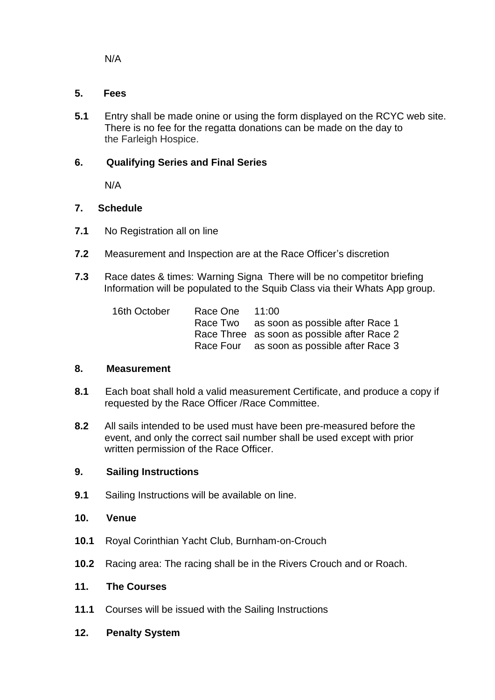N/A

#### **5. Fees**

**5.1** Entry shall be made onine or using the form displayed on the RCYC web site. There is no fee for the regatta donations can be made on the day to the Farleigh Hospice.

### **6. Qualifying Series and Final Series**

N/A

#### **7. Schedule**

- **7.1** No Registration all on line
- **7.2** Measurement and Inspection are at the Race Officer's discretion
- **7.3** Race dates & times: Warning Signa There will be no competitor briefing Information will be populated to the Squib Class via their Whats App group.

| 16th October | Race One 11:00 |                                             |
|--------------|----------------|---------------------------------------------|
|              |                | Race Two as soon as possible after Race 1   |
|              |                | Race Three as soon as possible after Race 2 |
|              |                | Race Four as soon as possible after Race 3  |

#### **8. Measurement**

- **8.1** Each boat shall hold a valid measurement Certificate, and produce a copy if requested by the Race Officer /Race Committee.
- **8.2** All sails intended to be used must have been pre-measured before the event, and only the correct sail number shall be used except with prior written permission of the Race Officer.

#### **9. Sailing Instructions**

**9.1** Sailing Instructions will be available on line.

#### **10. Venue**

- **10.1** Royal Corinthian Yacht Club, Burnham-on-Crouch
- **10.2** Racing area: The racing shall be in the Rivers Crouch and or Roach.

# **11. The Courses**

- **11.1** Courses will be issued with the Sailing Instructions
- **12. Penalty System**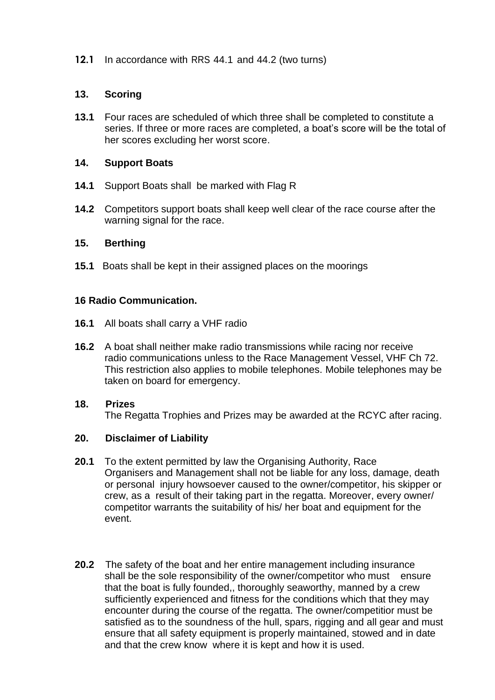**12.1** In accordance with RRS 44.1 and 44.2 (two turns)

#### **13. Scoring**

**13.1** Four races are scheduled of which three shall be completed to constitute a series. If three or more races are completed, a boat's score will be the total of her scores excluding her worst score.

#### **14. Support Boats**

- **14.1** Support Boats shall be marked with Flag R
- **14.2** Competitors support boats shall keep well clear of the race course after the warning signal for the race.

### **15. Berthing**

**15.1** Boats shall be kept in their assigned places on the moorings

### **16 Radio Communication.**

- **16.1** All boats shall carry a VHF radio
- **16.2** A boat shall neither make radio transmissions while racing nor receive radio communications unless to the Race Management Vessel, VHF Ch 72. This restriction also applies to mobile telephones. Mobile telephones may be taken on board for emergency.

# **18. Prizes** The Regatta Trophies and Prizes may be awarded at the RCYC after racing.

### **20. Disclaimer of Liability**

- **20.1** To the extent permitted by law the Organising Authority, Race Organisers and Management shall not be liable for any loss, damage, death or personal injury howsoever caused to the owner/competitor, his skipper or crew, as a result of their taking part in the regatta. Moreover, every owner/ competitor warrants the suitability of his/ her boat and equipment for the event.
- **20.2** The safety of the boat and her entire management including insurance shall be the sole responsibility of the owner/competitor who must ensure that the boat is fully founded,, thoroughly seaworthy, manned by a crew sufficiently experienced and fitness for the conditions which that they may encounter during the course of the regatta. The owner/competitior must be satisfied as to the soundness of the hull, spars, rigging and all gear and must ensure that all safety equipment is properly maintained, stowed and in date and that the crew know where it is kept and how it is used.